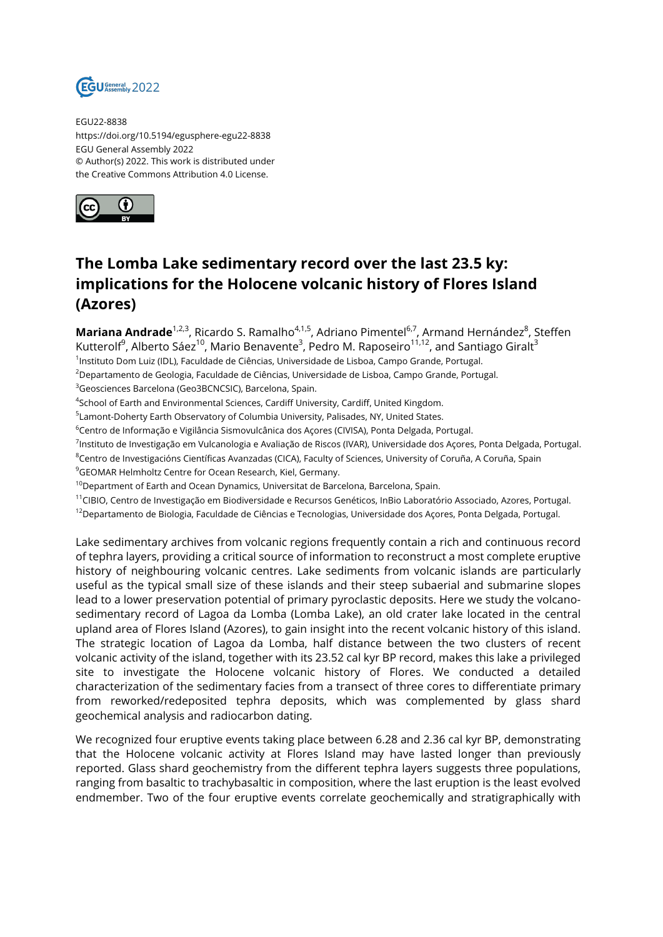

EGU22-8838 https://doi.org/10.5194/egusphere-egu22-8838 EGU General Assembly 2022 © Author(s) 2022. This work is distributed under the Creative Commons Attribution 4.0 License.



## **The Lomba Lake sedimentary record over the last 23.5 ky: implications for the Holocene volcanic history of Flores Island (Azores)**

**Mariana Andrade**<sup>1,2,3</sup>, Ricardo S. Ramalho<sup>4,1,5</sup>, Adriano Pimentel<sup>6,7</sup>, Armand Hernández<sup>8</sup>, Steffen Kutterolf<sup>9</sup>, Alberto Sáez<sup>10</sup>, Mario Benavente<sup>3</sup>, Pedro M. Raposeiro<sup>11,12</sup>, and Santiago Giralt<sup>3</sup>

1 Instituto Dom Luiz (IDL), Faculdade de Ciências, Universidade de Lisboa, Campo Grande, Portugal.

<sup>2</sup>Departamento de Geologia, Faculdade de Ciências, Universidade de Lisboa, Campo Grande, Portugal.

<sup>3</sup>Geosciences Barcelona (Geo3BCNCSIC), Barcelona, Spain.

 $^4$ School of Earth and Environmental Sciences, Cardiff University, Cardiff, United Kingdom.

<sup>5</sup>Lamont-Doherty Earth Observatory of Columbia University, Palisades, NY, United States.

<sup>6</sup>Centro de Informação e Vigilância Sismovulcânica dos Açores (CIVISA), Ponta Delgada, Portugal.

<sup>7</sup>Instituto de Investigação em Vulcanologia e Avaliação de Riscos (IVAR), Universidade dos Açores, Ponta Delgada, Portugal.

<sup>8</sup>Centro de Investigacións Científicas Avanzadas (CICA), Faculty of Sciences, University of Coruña, A Coruña, Spain

<sup>9</sup>GEOMAR Helmholtz Centre for Ocean Research, Kiel, Germany.

<sup>10</sup>Department of Earth and Ocean Dynamics, Universitat de Barcelona, Barcelona, Spain.

<sup>11</sup>CIBIO, Centro de Investigação em Biodiversidade e Recursos Genéticos, InBio Laboratório Associado, Azores, Portugal.

<sup>12</sup>Departamento de Biologia, Faculdade de Ciências e Tecnologias, Universidade dos Açores, Ponta Delgada, Portugal.

Lake sedimentary archives from volcanic regions frequently contain a rich and continuous record of tephra layers, providing a critical source of information to reconstruct a most complete eruptive history of neighbouring volcanic centres. Lake sediments from volcanic islands are particularly useful as the typical small size of these islands and their steep subaerial and submarine slopes lead to a lower preservation potential of primary pyroclastic deposits. Here we study the volcanosedimentary record of Lagoa da Lomba (Lomba Lake), an old crater lake located in the central upland area of Flores Island (Azores), to gain insight into the recent volcanic history of this island. The strategic location of Lagoa da Lomba, half distance between the two clusters of recent volcanic activity of the island, together with its 23.52 cal kyr BP record, makes this lake a privileged site to investigate the Holocene volcanic history of Flores. We conducted a detailed characterization of the sedimentary facies from a transect of three cores to differentiate primary from reworked/redeposited tephra deposits, which was complemented by glass shard geochemical analysis and radiocarbon dating.

We recognized four eruptive events taking place between 6.28 and 2.36 cal kyr BP, demonstrating that the Holocene volcanic activity at Flores Island may have lasted longer than previously reported. Glass shard geochemistry from the different tephra layers suggests three populations, ranging from basaltic to trachybasaltic in composition, where the last eruption is the least evolved endmember. Two of the four eruptive events correlate geochemically and stratigraphically with